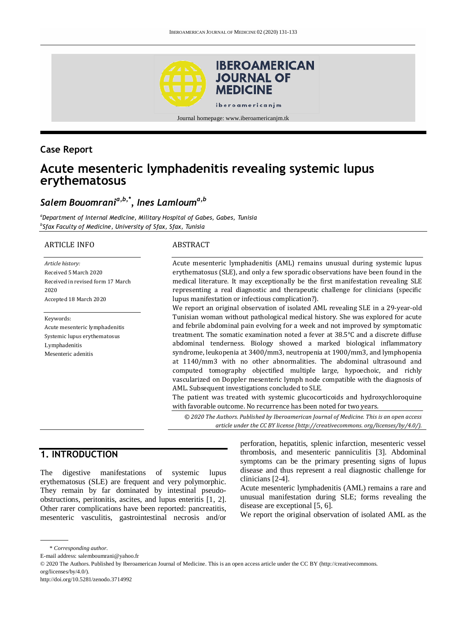

#### **Case Report**

# **Acute mesenteric lymphadenitis revealing systemic lupus erythematosus**

# *Salem Bouomrania,b,\*, Ines Lamlouma,b*

*<sup>a</sup>Department of Internal Medicine, Military Hospital of Gabes, Gabes, Tunisia b Sfax Faculty of Medicine, University of Sfax, Sfax, Tunisia*

#### ARTICLE INFO

*Article history:* Received 5 March 2020 Received in revised form 17 March 2020 Accepted 18 March 2020

#### Keywords:

Acute mesenteric lymphadenitis Systemic lupus erythematosus Lymphadenitis Mesenteric adenitis

#### ABSTRACT

Acute mesenteric lymphadenitis (AML) remains unusual during systemic lupus erythematosus (SLE), and only a few sporadic observations have been found in the medical literature. It may exceptionally be the first manifestation revealing SLE representing a real diagnostic and therapeutic challenge for clinicians (specific lupus manifestation or infectious complication?).

We report an original observation of isolated AML revealing SLE in a 29-year-old Tunisian woman without pathological medical history. She was explored for acute and febrile abdominal pain evolving for a week and not improved by symptomatic treatment. The somatic examination noted a fever at 38.5°C and a discrete diffuse abdominal tenderness. Biology showed a marked biological inflammatory syndrome, leukopenia at 3400/mm3, neutropenia at 1900/mm3, and lymphopenia at 1140/mm3 with no other abnormalities. The abdominal ultrasound and computed tomography objectified multiple large, hypoechoic, and richly vascularized on Doppler mesenteric lymph node compatible with the diagnosis of AML. Subsequent investigations concluded to SLE.

The patient was treated with systemic glucocorticoids and hydroxychloroquine with favorable outcome. No recurrence has been noted for two years.

*© 2020 The Authors. Published by Iberoamerican Journal of Medicine. This is an open access article under the CC BY license (http:/[/creativecommons. org/licenses/by/4.0/\)](https://creativecommons.org/licenses/by/4.0/).*

## **1. INTRODUCTION**

The digestive manifestations of systemic lupus erythematosus (SLE) are frequent and very polymorphic. They remain by far dominated by intestinal pseudoobstructions, peritonitis, ascites, and lupus enteritis [1, 2]. Other rarer complications have been reported: pancreatitis, mesenteric vasculitis, gastrointestinal necrosis and/or

perforation, hepatitis, splenic infarction, mesenteric vessel thrombosis, and mesenteric panniculitis [3]. Abdominal symptoms can be the primary presenting signs of lupus disease and thus represent a real diagnostic challenge for clinicians [2-4].

Acute mesenteric lymphadenitis (AML) remains a rare and unusual manifestation during SLE; forms revealing the disease are exceptional [5, 6].

We report the original observation of isolated AML as the

<sup>\*</sup> *Corresponding author.*

E-mail address: salemboumrani@yahoo.fr

<sup>© 2020</sup> The Authors. Published by Iberoamerican Journal of Medicine. This is an open access article under the CC BY (http://creativecommons.

org/licenses/by/4.0/).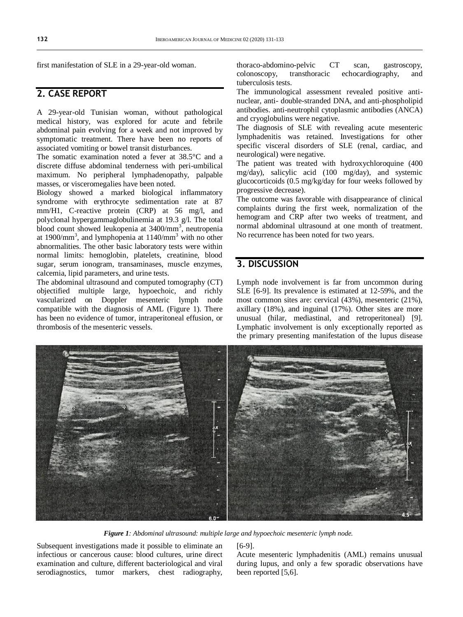first manifestation of SLE in a 29-year-old woman.

## **2. CASE REPORT**

A 29-year-old Tunisian woman, without pathological medical history, was explored for acute and febrile abdominal pain evolving for a week and not improved by symptomatic treatment. There have been no reports of associated vomiting or bowel transit disturbances.

The somatic examination noted a fever at 38.5°C and a discrete diffuse abdominal tenderness with peri-umbilical maximum. No peripheral lymphadenopathy, palpable masses, or visceromegalies have been noted.

Biology showed a marked biological inflammatory syndrome with erythrocyte sedimentation rate at 87 mm/H1, C-reactive protein (CRP) at 56 mg/l, and polyclonal hypergammaglobulinemia at 19.3 g/l. The total blood count showed leukopenia at 3400/mm<sup>3</sup>, neutropenia at 1900/mm<sup>3</sup>, and lymphopenia at  $1140$ /mm<sup>3</sup> with no other abnormalities. The other basic laboratory tests were within normal limits: hemoglobin, platelets, creatinine, blood sugar, serum ionogram, transaminases, muscle enzymes, calcemia, lipid parameters, and urine tests.

The abdominal ultrasound and computed tomography (CT) objectified multiple large, hypoechoic, and richly vascularized on Doppler mesenteric lymph node compatible with the diagnosis of AML (Figure 1). There has been no evidence of tumor, intraperitoneal effusion, or thrombosis of the mesenteric vessels.

thoraco-abdomino-pelvic CT scan, gastroscopy, colonoscopy, transthoracic echocardiography, and tuberculosis tests.

The immunological assessment revealed positive antinuclear, anti- double-stranded DNA, and anti-phospholipid antibodies. anti-neutrophil cytoplasmic antibodies (ANCA) and cryoglobulins were negative.

The diagnosis of SLE with revealing acute mesenteric lymphadenitis was retained. Investigations for other specific visceral disorders of SLE (renal, cardiac, and neurological) were negative.

The patient was treated with hydroxychloroquine (400 mg/day), salicylic acid (100 mg/day), and systemic glucocorticoids (0.5 mg/kg/day for four weeks followed by progressive decrease).

The outcome was favorable with disappearance of clinical complaints during the first week, normalization of the hemogram and CRP after two weeks of treatment, and normal abdominal ultrasound at one month of treatment. No recurrence has been noted for two years.

#### **3. DISCUSSION**

Lymph node involvement is far from uncommon during SLE [6-9]. Its prevalence is estimated at 12-59%, and the most common sites are: cervical (43%), mesenteric (21%), axillary (18%), and inguinal (17%). Other sites are more unusual (hilar, mediastinal, and retroperitoneal) [9]. Lymphatic involvement is only exceptionally reported as the primary presenting manifestation of the lupus disease



*Figure 1: Abdominal ultrasound: multiple large and hypoechoic mesenteric lymph node.*

Subsequent investigations made it possible to eliminate an infectious or cancerous cause: blood cultures, urine direct examination and culture, different bacteriological and viral serodiagnostics, tumor markers, chest radiography, [6-9].

Acute mesenteric lymphadenitis (AML) remains unusual during lupus, and only a few sporadic observations have been reported [5,6].